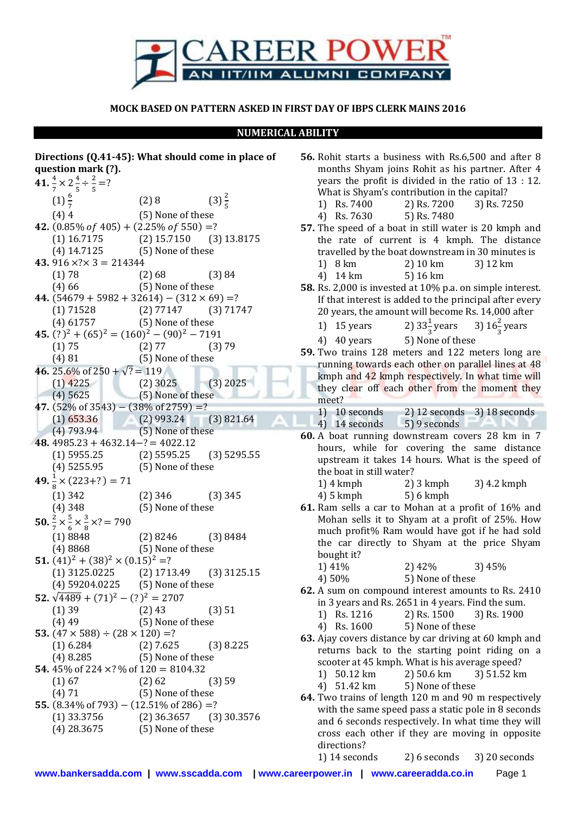

## **MOCK BASED ON PATTERN ASKED IN FIRST DAY OF IBPS CLERK MAINS 2016**

## **NUMERICAL ABILITY**

| Directions (Q.41-45): What should come in place of                                                                                 |                                            |                  |
|------------------------------------------------------------------------------------------------------------------------------------|--------------------------------------------|------------------|
| question mark (?).                                                                                                                 |                                            |                  |
| 41. $\frac{4}{7} \times 2 \frac{4}{5} \div \frac{2}{5} = ?$                                                                        |                                            |                  |
|                                                                                                                                    |                                            |                  |
| $(1)\frac{6}{7}$                                                                                                                   | (2)8                                       | $(3)\frac{2}{5}$ |
| (4)4                                                                                                                               | (5) None of these                          |                  |
| 42. $(0.85\% of 405) + (2.25\% of 550) = ?$                                                                                        |                                            |                  |
| (1) $16.7175$ (2) $15.7150$ (3) $13.8175$                                                                                          |                                            |                  |
| (4) 14.7125 (5) None of these                                                                                                      |                                            |                  |
| 43. $916 \times ? \times 3 = 214344$                                                                                               |                                            |                  |
| (1) 78                                                                                                                             | $(2) 68$ $(3) 84$<br>$(5)$ None of these   |                  |
| (4)66                                                                                                                              |                                            |                  |
| 44. $(54679 + 5982 + 32614) - (312 \times 69) = ?$                                                                                 |                                            |                  |
| (1) 71528 (2) 77147 (3) 71747<br>(4) 61757 (5) None of these                                                                       |                                            |                  |
|                                                                                                                                    |                                            |                  |
| 45. $(?)^{2} + (65)^{2} = (160)^{2} - (90)^{2} - 7191$                                                                             |                                            |                  |
| (1) 75                                                                                                                             |                                            |                  |
| (4) 81                                                                                                                             | $(2) 77$ $(3) 79$<br>$(5)$ None of these   |                  |
| 46. 25.6% of 250 + $\sqrt{?}$ = 119<br>25.6% of 250 + $\sqrt{?}$ = 119<br>(1) 4225 (2) 3025 (3) 2025<br>(4) 5625 (5) None of these |                                            |                  |
|                                                                                                                                    |                                            |                  |
| $(4)$ 5625                                                                                                                         |                                            |                  |
| 47. $(52\% \text{ of } 3543) - (38\% \text{ of } 2759) = ?$                                                                        |                                            |                  |
| (1) $653.36$ (2) 993.24 (3) 821.64<br>(4) 793.94 (5) None of these                                                                 |                                            |                  |
|                                                                                                                                    |                                            |                  |
| 48. $4985.23 + 4632.14 - ? = 4022.12$                                                                                              |                                            |                  |
|                                                                                                                                    |                                            |                  |
| (1) 5955.25 (2) 5595.25 (3) 5295.55<br>(4) 5255.95 (5) None of these                                                               |                                            |                  |
| 49. $\frac{1}{8}$ x (223+?) = 71                                                                                                   |                                            |                  |
| $(1)$ 342                                                                                                                          |                                            |                  |
| $(4)$ 348                                                                                                                          | $(2)$ 346 $(3)$ 345<br>$(5)$ None of these |                  |
|                                                                                                                                    |                                            |                  |
| <b>50.</b> $\frac{2}{7} \times \frac{5}{6} \times \frac{3}{8} \times ? = 790$                                                      |                                            |                  |
| (1) 8848                                                                                                                           | $(2) 8246$ $(3) 8484$                      |                  |
| (4)8868                                                                                                                            | (5) None of these                          |                  |
| 51. $(41)^{2} + (38)^{2} \times (0.15)^{2} = ?$                                                                                    |                                            |                  |
| $(1)$ 3125.0225 $(2)$ 1713.49 $(3)$ 3125.15                                                                                        |                                            |                  |
| (4) 59204.0225 (5) None of these                                                                                                   |                                            |                  |
| 52. $\sqrt{4489} + (71)^2 - (?)^2 = 2707$                                                                                          |                                            |                  |
| $(1)$ 39                                                                                                                           | $(2)$ 43                                   | (3) 51           |
| (4)49                                                                                                                              | (5) None of these                          |                  |
| 53. $(47 \times 588) \div (28 \times 120) = ?$                                                                                     |                                            |                  |
| (1) 6.284 (2) 7.625 (3) 8.225<br>(4) 8.285 (5) None of these                                                                       |                                            |                  |
|                                                                                                                                    |                                            |                  |
| <b>54.</b> 45% of 224 $\times$ ? % of 120 = 8104.32                                                                                |                                            |                  |
| (1) 67                                                                                                                             | (2) 62                                     | (3) 59           |
| (4) 71                                                                                                                             | (5) None of these                          |                  |
| 55. $(8.34\% \text{ of } 793) - (12.51\% \text{ of } 286) =?$                                                                      |                                            |                  |
| (1) 33.3756 (2) 36.3657 (3) 30.3576<br>(4) 28.3675 (5) None of these                                                               |                                            |                  |
|                                                                                                                                    |                                            |                  |
|                                                                                                                                    |                                            |                  |

| 56. Rohit starts a business with Rs.6,500 and after 8 |
|-------------------------------------------------------|
| months Shyam joins Rohit as his partner. After 4      |
| years the profit is divided in the ratio of $13:12$ . |
| What is Shyam's contribution in the capital?          |
|                                                       |

- 1) Rs. 7400 2) Rs. 7200 3) Rs. 7250
- 4) Rs. 7630 5) Rs. 7480
- **57.** The speed of a boat in still water is 20 kmph and the rate of current is 4 kmph. The distance travelled by the boat downstream in 30 minutes is
	- 1) 8 km 2) 10 km 3) 12 km
	- 4) 14 km 5) 16 km
- **58.** Rs. 2,000 is invested at 10% p.a. on simple interest. If that interest is added to the principal after every 20 years, the amount will become Rs. 14,000 after
	- 1)  $15$  years  $\frac{1}{3}$  years 3)  $16\frac{2}{3}$  $rac{2}{3}$  years
	- 4) 40 years 5) None of these
- **59.** Two trains 128 meters and 122 meters long are running towards each other on parallel lines at 48 kmph and 42 kmph respectively. In what time will they clear off each other from the moment they meet?

| 1) 10 seconds | $2)$ 12 seconds $3)$ 18 seconds |
|---------------|---------------------------------|
| 4) 14 seconds | 5) 9 seconds                    |

- **60.** A boat running downstream covers 28 km in 7 hours, while for covering the same distance upstream it takes 14 hours. What is the speed of the boat in still water?
	- 1) 4 kmph 2) 3 kmph 3) 4.2 kmph
	- 4) 5 kmph 5) 6 kmph
- **61.** Ram sells a car to Mohan at a profit of 16% and Mohan sells it to Shyam at a profit of 25%. How much profit% Ram would have got if he had sold the car directly to Shyam at the price Shyam bought it?
	- 1) 41% 2) 42% 3) 45%

4) 50% 5) None of these

- **62.** A sum on compound interest amounts to Rs. 2410 in 3 years and Rs. 2651 in 4 years. Find the sum.
	- 1) Rs. 1216 2) Rs. 1500 3) Rs. 1900
	- 4) Rs. 1600 5) None of these
- **63.** Ajay covers distance by car driving at 60 kmph and returns back to the starting point riding on a scooter at 45 kmph. What is his average speed? 1) 50.12 km 2) 50.6 km 3) 51.52 km
	- 4) 51.42 km 5) None of these
- **64.** Two trains of length 120 m and 90 m respectively with the same speed pass a static pole in 8 seconds and 6 seconds respectively. In what time they will cross each other if they are moving in opposite directions?

1) 14 seconds 2) 6 seconds 3) 20 seconds